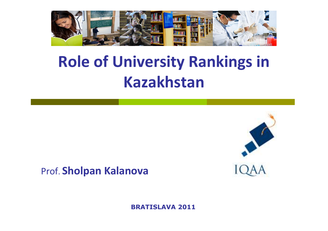

## **Role of University Rankings in Kazakhstan**



#### Prof. **Sholpan Kalanova**

**BRATISLAVA 2011**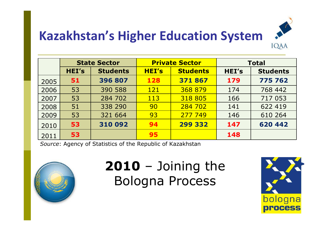

### **Kazakhstan's Higher Education System**

|      | <b>State Sector</b> |                 | <b>Private Sector</b> |                 | <b>Total</b> |                 |
|------|---------------------|-----------------|-----------------------|-----------------|--------------|-----------------|
|      | HEI's               | <b>Students</b> | <b>HEI's</b>          | <b>Students</b> | <b>HEI's</b> | <b>Students</b> |
| 2005 | 51                  | 396 807         | 128                   | 371867          | 179          | 775 762         |
| 2006 | 53                  | 390 588         | 121                   | 368 879         | 174          | 768 442         |
| 2007 | 53                  | 284 702         | 113                   | 318 805         | 166          | 717 053         |
| 2008 | 51                  | 338 290         | 90                    | 284 702         | 141          | 622 419         |
| 2009 | 53                  | 321 664         | 93                    | 277 749         | 146          | 610 264         |
| 2010 | 53                  | 310 092         | 94                    | 299 332         | 147          | 620 442         |
| 2011 | 53                  |                 | 95                    |                 | 148          |                 |

*Source*: Agency of Statistics of the Republic of Kazakhstan



**2010** – Joining the Bologna Process

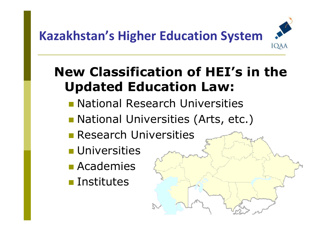### **Kazakhstan's Higher Education System**IQAA

### **New Classification of HEI's in the Updated Education Law:**

- **Rational Research Universities**
- National Universities (Arts, etc.)
- **Research Universities**
- **L** Universities
- Academies
- **Exercitutes**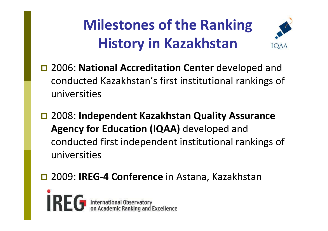**Milestones of the Ranking History in Kazakhstan**



- $\Box$  2006: **National Accreditation Center** developed and conducted Kazakhstan's first institutional rankings of universities
- 2008: **Independent Kazakhstan Quality Assurance Agency for Education (IQAA)** developed and conducted first independent institutional rankings of universities
- **□ 2009: IREG-4 Conference** in Astana, Kazakhstan

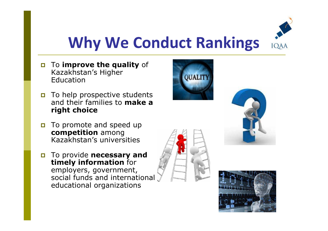

## **Why We Conduct Rankings**

- $\Box$  To **improve the quality** of Kazakhstan's HigherEducation
- To help prospective students<br>and their families to make a and their families to **make a right choice**
- $\Box$  To promote and speed up **competition** among Kazakhstan's universities
- **D** To provide **necessary and timely information** for employers, government, social funds and international educational organizations





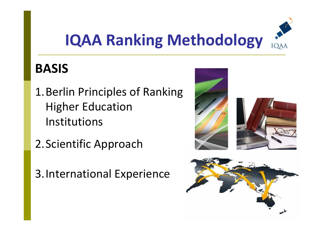

### **BASIS**

- 1.Berlin Principles of Ranking Higher Education Institutions
- 2.Scientific Approach
- 3.International Experience

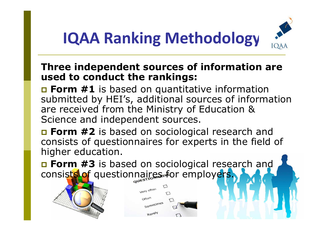

#### **Three independent sources of information are used to conduct the rankings:**

**<u>n</u> Form #1** is based on quantitative information<br>submitted by HEI's additional sources of informa submitted by HEI's, additional sources of information are received from the Ministry of Education & Science and independent sources.

**Example 12** is based on sociological research and and some integration of augmention of the field of consists of questionnaires for experts in the field of higher education.

**<u>n</u> Form #3** is based on sociological research and<br>consiste of questionnaires for employers consists of questionnaires for employers.

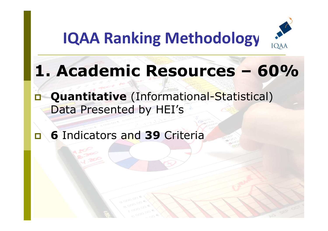

# **1. Academic Resources – 60%**

### - **Quantitative** (Informational-Statistical) Data Presented by HEI's

#### $\blacksquare$ **<sup>6</sup>**Indicators and **<sup>39</sup>** Criteria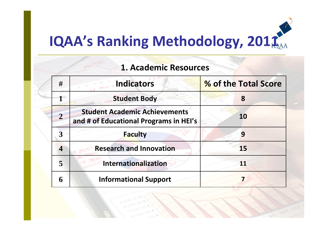| <b>1. Academic Resources</b> |                                                                                |                      |  |  |
|------------------------------|--------------------------------------------------------------------------------|----------------------|--|--|
| #                            | <b>Indicators</b>                                                              | % of the Total Score |  |  |
|                              | <b>Student Body</b>                                                            | 8                    |  |  |
| $\overline{2}$               | <b>Student Academic Achievements</b><br>and # of Educational Programs in HEI's | <b>10</b>            |  |  |
|                              | <b>Faculty</b>                                                                 | 9                    |  |  |
| $\overline{\mathcal{A}}$     | <b>Research and Innovation</b>                                                 | 15                   |  |  |
| 5                            | <b>Internationalization</b>                                                    |                      |  |  |
| 6                            | <b>Informational Support</b>                                                   |                      |  |  |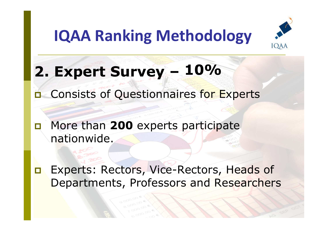

**2. Expert Survey – 10%**

**n** Consists of Questionnaires for Experts

- More than **<sup>200</sup>** experts participate nationwide.

- Experts: Rectors, Vice-Rectors, Heads of Departments, Professors and Researchers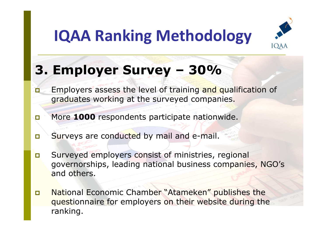

### **3. Employer Survey – 30%**

- $\blacksquare$ **Employers assess the level of training and qualification of Employers** assess the level of training and qualification of graduates working at the surveyed companies.
- $\Box$ More **<sup>1000</sup>** respondents participate nationwide.
- $\Box$ Surveys are conducted by mail and e-mail.
- - Surveyed employers consist of ministries, regional governorships, leading national business companies, NGO's and others.
- $\Box$  National Economic Chamber "Atameken" publishes the questionnaire for employers on their website during the ranking.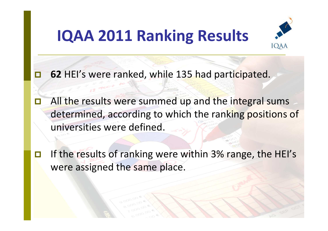### **IQAA 2011 Ranking Results**



-**<sup>62</sup>** HEI's were ranked, while 135 had participated.

-All the results were summed up and the integral sums determined, according to which the ranking positions of universities were defined.

 $\Box$  If the results of ranking were within 3% range, the HEI's were assigned the same place.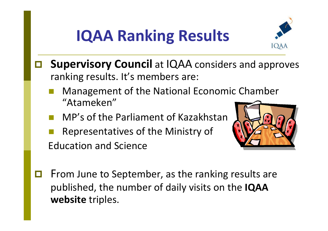# **IQAA Ranking Results**



- $\Box$  **Supervisory Council** at IQAA considers and approves ranking results. It's members are:
	- Management of the National Economic Chamber "Atameken"
	- MP's of the Parliament of Kazakhstan
	- **Service Service**  Representatives of the Ministry of Education and Science



 $\Box$ From June to September, as the ranking results are published, the number of daily visits on the **IQAAwebsite** triples.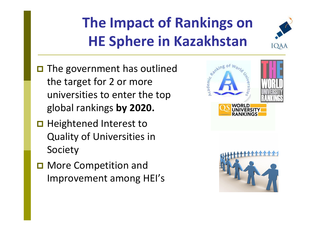# **The Impact of Rankings onHE Sphere in Kazakhstan**



- **□** The government has outlined the target for 2 or more universities to enter the top global rankings **by 2020.**
- Heightened Interest to Quality of Universities in Society
- More Competition and Improvement among HEI's



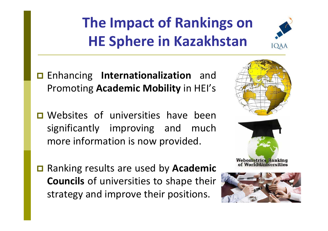# **The Impact of Rankings onHE Sphere in Kazakhstan**



- Enhancing **Internationalization** and Promoting **Academic Mobility** in HEI's

- D Websites of universities have been significantly improving and much more information is now provided.
- Ranking results are used by **Academic Councils** of universities to shape their strategy and improve their positions.



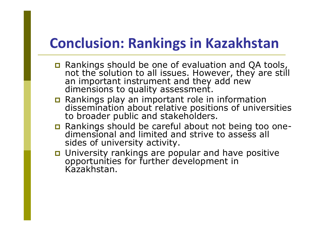### **Conclusion: Rankings in Kazakhstan**

- Rankings should be one of evaluation and QA tools, not the solution to all issues. However, they are still an important instrument and they add new dimensions to quality assessment.
- n Rankings play an important role in dissemination about relative positions of universities to broader public and stakeholders.
- Rankings should be careful about not being too one- dimensional and limited and strive to assess all sides of university activity.
- University rankings are popular and have positive opportunities for further development in Kazakhstan.